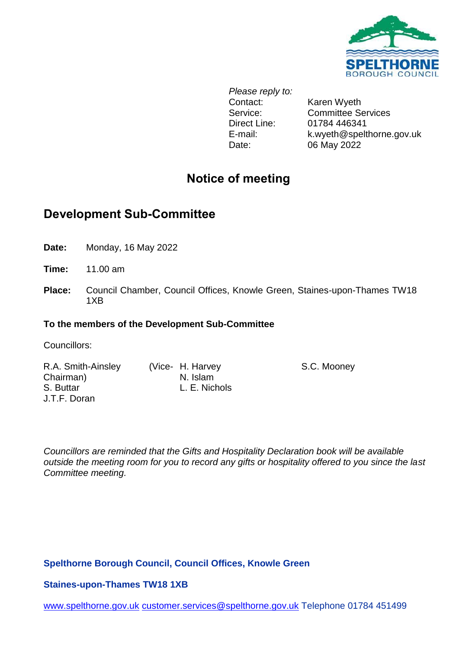

*Please reply to:* Contact: Karen Wyeth Direct Line: 01784 446341 Date: 06 May 2022

Service: Committee Services E-mail: k.wyeth@spelthorne.gov.uk

# **Notice of meeting**

# **Development Sub-Committee**

**Date:** Monday, 16 May 2022

**Time:** 11.00 am

**Place:** Council Chamber, Council Offices, Knowle Green, Staines-upon-Thames TW18 1XB

# **To the members of the Development Sub-Committee**

Councillors:

R.A. Smith-Ainsley Chairman) S. Buttar J.T.F. Doran

(Vice- H. Harvey N. Islam L. E. Nichols S.C. Mooney

*Councillors are reminded that the Gifts and Hospitality Declaration book will be available outside the meeting room for you to record any gifts or hospitality offered to you since the last Committee meeting.*

# **Spelthorne Borough Council, Council Offices, Knowle Green**

**Staines-upon-Thames TW18 1XB**

[www.spelthorne.gov.uk](http://www.spelthorne.gov.uk/) [customer.services@spelthorne.gov.uk](mailto:customer.services@spelthorne.gov.uk) Telephone 01784 451499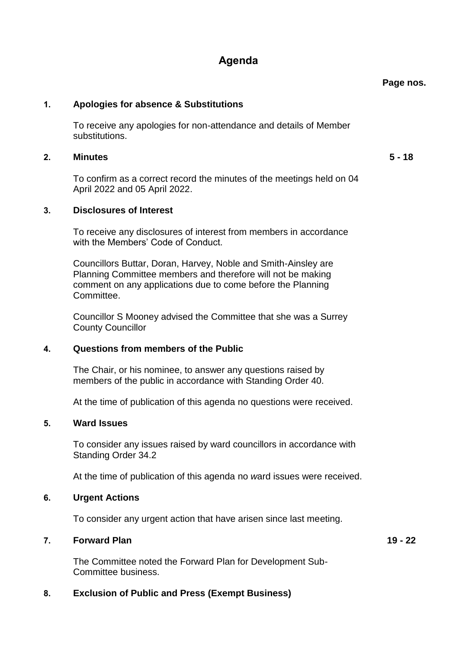# **Agenda**

#### **1. Apologies for absence & Substitutions**

To receive any apologies for non-attendance and details of Member substitutions.

#### **2. Minutes 5 - 18**

To confirm as a correct record the minutes of the meetings held on 04 April 2022 and 05 April 2022.

#### **3. Disclosures of Interest**

To receive any disclosures of interest from members in accordance with the Members' Code of Conduct.

Councillors Buttar, Doran, Harvey, Noble and Smith-Ainsley are Planning Committee members and therefore will not be making comment on any applications due to come before the Planning Committee.

Councillor S Mooney advised the Committee that she was a Surrey County Councillor

#### **4. Questions from members of the Public**

The Chair, or his nominee, to answer any questions raised by members of the public in accordance with Standing Order 40.

At the time of publication of this agenda no questions were received.

#### **5. Ward Issues**

To consider any issues raised by ward councillors in accordance with Standing Order 34.2

At the time of publication of this agenda no *w*ard issues were received.

#### **6. Urgent Actions**

To consider any urgent action that have arisen since last meeting.

#### **7. Forward Plan 19 - 22**

The Committee noted the Forward Plan for Development Sub-Committee business.

#### **8. Exclusion of Public and Press (Exempt Business)**

**Page nos.**